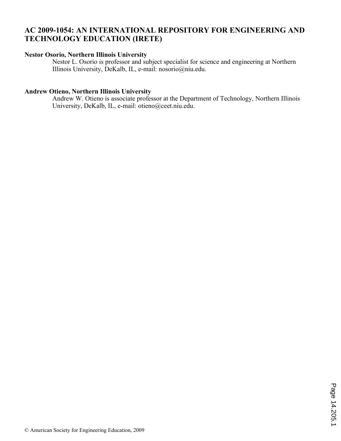## **AC 2009-1054: AN INTERNATIONAL REPOSITORY FOR ENGINEERING AND TECHNOLOGY EDUCATION (IRETE)**

#### **Nestor Osorio, Northern Illinois University**

Nestor L. Osorio is professor and subject specialist for science and engineering at Northern Illinois University, DeKalb, IL, e-mail: nosorio@niu.edu.

### **Andrew Otieno, Northern Illinois University**

Andrew W. Otieno is associate professor at the Department of Technology, Northern Illinois University, DeKalb, IL, e-mail: otieno@ceet.niu.edu.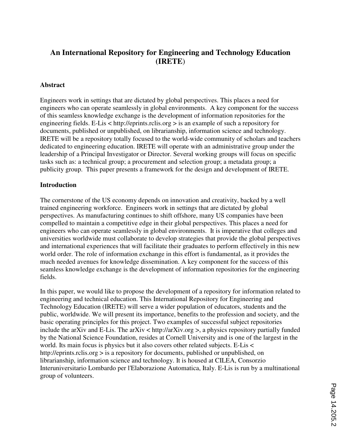# **An International Repository for Engineering and Technology Education (IRETE**)

#### **Abstract**

Engineers work in settings that are dictated by global perspectives. This places a need for engineers who can operate seamlessly in global environments. A key component for the success of this seamless knowledge exchange is the development of information repositories for the engineering fields. E-Lis < http://eprints.rclis.org > is an example of such a repository for documents, published or unpublished, on librarianship, information science and technology. IRETE will be a repository totally focused to the world-wide community of scholars and teachers dedicated to engineering education. IRETE will operate with an administrative group under the leadership of a Principal Investigator or Director. Several working groups will focus on specific tasks such as: a technical group; a procurement and selection group; a metadata group; a publicity group. This paper presents a framework for the design and development of IRETE.

#### **Introduction**

The cornerstone of the US economy depends on innovation and creativity, backed by a well trained engineering workforce. Engineers work in settings that are dictated by global perspectives. As manufacturing continues to shift offshore, many US companies have been compelled to maintain a competitive edge in their global perspectives. This places a need for engineers who can operate seamlessly in global environments. It is imperative that colleges and universities worldwide must collaborate to develop strategies that provide the global perspectives and international experiences that will facilitate their graduates to perform effectively in this new world order. The role of information exchange in this effort is fundamental, as it provides the much needed avenues for knowledge dissemination. A key component for the success of this seamless knowledge exchange is the development of information repositories for the engineering fields.

In this paper, we would like to propose the development of a repository for information related to engineering and technical education. This International Repository for Engineering and Technology Education (IRETE) will serve a wider population of educators, students and the public, worldwide. We will present its importance, benefits to the profession and society, and the basic operating principles for this project. Two examples of successful subject repositories include the arXiv and E-Lis. The arXiv < http://arXiv.org >, a physics repository partially funded by the National Science Foundation, resides at Cornell University and is one of the largest in the world. Its main focus is physics but it also covers other related subjects. E-Lis < http://eprints.rclis.org > is a repository for documents, published or unpublished, on librarianship, information science and technology. It is housed at CILEA, Consorzio Interuniversitario Lombardo per l'Elaborazione Automatica, Italy. E-Lis is run by a multinational group of volunteers.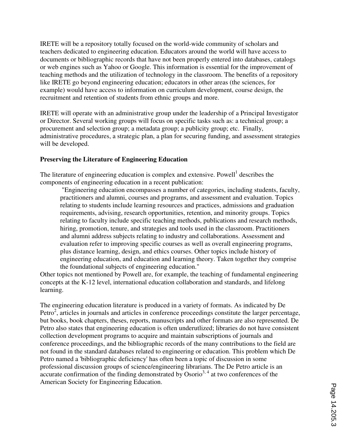IRETE will be a repository totally focused on the world-wide community of scholars and teachers dedicated to engineering education. Educators around the world will have access to documents or bibliographic records that have not been properly entered into databases, catalogs or web engines such as Yahoo or Google. This information is essential for the improvement of teaching methods and the utilization of technology in the classroom. The benefits of a repository like IRETE go beyond engineering education; educators in other areas (the sciences, for example) would have access to information on curriculum development, course design, the recruitment and retention of students from ethnic groups and more.

IRETE will operate with an administrative group under the leadership of a Principal Investigator or Director. Several working groups will focus on specific tasks such as: a technical group; a procurement and selection group; a metadata group; a publicity group; etc. Finally, administrative procedures, a strategic plan, a plan for securing funding, and assessment strategies will be developed.

### **Preserving the Literature of Engineering Education**

The literature of engineering education is complex and extensive. Powell<sup>1</sup> describes the components of engineering education in a recent publication:

 "Engineering education encompasses a number of categories, including students, faculty, practitioners and alumni, courses and programs, and assessment and evaluation. Topics relating to students include learning resources and practices, admissions and graduation requirements, advising, research opportunities, retention, and minority groups. Topics relating to faculty include specific teaching methods, publications and research methods, hiring, promotion, tenure, and strategies and tools used in the classroom. Practitioners and alumni address subjects relating to industry and collaborations. Assessment and evaluation refer to improving specific courses as well as overall engineering programs, plus distance learning, design, and ethics courses. Other topics include history of engineering education, and education and learning theory. Taken together they comprise the foundational subjects of engineering education."

Other topics not mentioned by Powell are, for example, the teaching of fundamental engineering concepts at the K-12 level, international education collaboration and standards, and lifelong learning.

The engineering education literature is produced in a variety of formats. As indicated by De Petro<sup>2</sup>, articles in journals and articles in conference proceedings constitute the larger percentage, but books, book chapters, theses, reports, manuscripts and other formats are also represented. De Petro also states that engineering education is often underutlized; libraries do not have consistent collection development programs to acquire and maintain subscriptions of journals and conference proceedings, and the bibliographic records of the many contributions to the field are not found in the standard databases related to engineering or education. This problem which De Petro named a 'bibliographic deficiency' has often been a topic of discussion in some professional discussion groups of science/engineering librarians. The De Petro article is an  $\frac{1}{2}$  accurate confirmation of the finding demonstrated by Osorio<sup>3, 4</sup> at two conferences of the American Society for Engineering Education.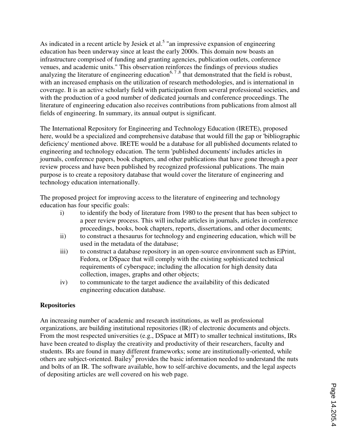As indicated in a recent article by Jesiek et al.<sup>5</sup> "an impressive expansion of engineering education has been underway since at least the early 2000s. This domain now boasts an infrastructure comprised of funding and granting agencies, publication outlets, conference venues, and academic units." This observation reinforces the findings of previous studies analyzing the literature of engineering education<sup>6, 7,8</sup> that demonstrated that the field is robust, with an increased emphasis on the utilization of research methodologies, and is international in coverage. It is an active scholarly field with participation from several professional societies, and with the production of a good number of dedicated journals and conference proceedings. The literature of engineering education also receives contributions from publications from almost all fields of engineering. In summary, its annual output is significant.

The International Repository for Engineering and Technology Education (IRETE), proposed here, would be a specialized and comprehensive database that would fill the gap or 'bibliographic deficiency' mentioned above. IRETE would be a database for all published documents related to engineering and technology education. The term 'published documents' includes articles in journals, conference papers, book chapters, and other publications that have gone through a peer review process and have been published by recognized professional publications. The main purpose is to create a repository database that would cover the literature of engineering and technology education internationally.

The proposed project for improving access to the literature of engineering and technology education has four specific goals:

- i) to identify the body of literature from 1980 to the present that has been subject to a peer review process. This will include articles in journals, articles in conference proceedings, books, book chapters, reports, dissertations, and other documents;
- ii) to construct a thesaurus for technology and engineering education, which will be used in the metadata of the database;
- iii) to construct a database repository in an open-source environment such as EPrint, Fedora, or DSpace that will comply with the existing sophisticated technical requirements of cyberspace; including the allocation for high density data collection, images, graphs and other objects;
- iv) to communicate to the target audience the availability of this dedicated engineering education database.

### **Repositories**

An increasing number of academic and research institutions, as well as professional organizations, are building institutional repositories (IR) of electronic documents and objects. From the most respected universities (e.g., DSpace at MIT) to smaller technical institutions, IRs have been created to display the creativity and productivity of their researchers, faculty and students. IRs are found in many different frameworks; some are institutionally-oriented, while others are subject-oriented. Bailey<sup>9</sup> provides the basic information needed to understand the nuts and bolts of an IR. The software available, how to self-archive documents, and the legal aspects of depositing articles are well covered on his web page.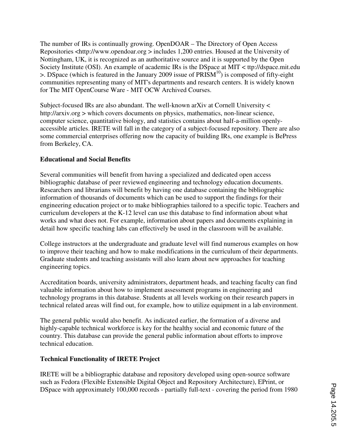The number of IRs is continually growing. OpenDOAR – The Directory of Open Access Repositories <http://www.opendoar.org > includes 1,200 entries. Housed at the University of Nottingham, UK, it is recognized as an authoritative source and it is supported by the Open Society Institute (OSI). An example of academic IRs is the DSpace at MIT < ttp://dspace.mit.edu  $>$ . DSpace (which is featured in the January 2009 issue of PRISM<sup>10</sup>) is composed of fifty-eight communities representing many of MIT's departments and research centers. It is widely known for The MIT OpenCourse Ware - MIT OCW Archived Courses.

Subject-focused IRs are also abundant. The well-known arXiv at Cornell University < http://arxiv.org > which covers documents on physics, mathematics, non-linear science, computer science, quantitative biology, and statistics contains about half-a-million openlyaccessible articles. IRETE will fall in the category of a subject-focused repository. There are also some commercial enterprises offering now the capacity of building IRs, one example is BePress from Berkeley, CA.

## **Educational and Social Benefits**

Several communities will benefit from having a specialized and dedicated open access bibliographic database of peer reviewed engineering and technology education documents. Researchers and librarians will benefit by having one database containing the bibliographic information of thousands of documents which can be used to support the findings for their engineering education project or to make bibliographies tailored to a specific topic. Teachers and curriculum developers at the K-12 level can use this database to find information about what works and what does not. For example, information about papers and documents explaining in detail how specific teaching labs can effectively be used in the classroom will be available.

College instructors at the undergraduate and graduate level will find numerous examples on how to improve their teaching and how to make modifications in the curriculum of their departments. Graduate students and teaching assistants will also learn about new approaches for teaching engineering topics.

Accreditation boards, university administrators, department heads, and teaching faculty can find valuable information about how to implement assessment programs in engineering and technology programs in this database. Students at all levels working on their research papers in technical related areas will find out, for example, how to utilize equipment in a lab environment.

The general public would also benefit. As indicated earlier, the formation of a diverse and highly-capable technical workforce is key for the healthy social and economic future of the country. This database can provide the general public information about efforts to improve technical education.

### **Technical Functionality of IRETE Project**

IRETE will be a bibliographic database and repository developed using open-source software such as Fedora (Flexible Extensible Digital Object and Repository Architecture), EPrint, or DSpace with approximately 100,000 records - partially full-text - covering the period from 1980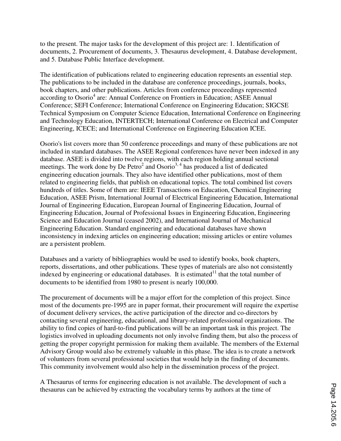to the present. The major tasks for the development of this project are: 1. Identification of documents, 2. Procurement of documents, 3. Thesaurus development, 4. Database development, and 5. Database Public Interface development.

The identification of publications related to engineering education represents an essential step. The publications to be included in the database are conference proceedings, journals, books, book chapters, and other publications. Articles from conference proceedings represented according to Osorio<sup>4</sup> are: Annual Conference on Frontiers in Education; ASEE Annual Conference; SEFI Conference; International Conference on Engineering Education; SIGCSE Technical Symposium on Computer Science Education, International Conference on Engineering and Technology Education, INTERTECH; International Conference on Electrical and Computer Engineering, ICECE; and International Conference on Engineering Education ICEE.

Osorio's list covers more than 50 conference proceedings and many of these publications are not included in standard databases. The ASEE Regional conferences have never been indexed in any database. ASEE is divided into twelve regions, with each region holding annual sectional meetings. The work done by De Petro<sup>2</sup> and Osorio<sup>3, 4</sup> has produced a list of dedicated engineering education journals. They also have identified other publications, most of them related to engineering fields, that publish on educational topics. The total combined list covers hundreds of titles. Some of them are: IEEE Transactions on Education, Chemical Engineering Education, ASEE Prism, International Journal of Electrical Engineering Education, International Journal of Engineering Education, European Journal of Engineering Education, Journal of Engineering Education, Journal of Professional Issues in Engineering Education, Engineering Science and Education Journal (ceased 2002), and International Journal of Mechanical Engineering Education. Standard engineering and educational databases have shown inconsistency in indexing articles on engineering education; missing articles or entire volumes are a persistent problem.

Databases and a variety of bibliographies would be used to identify books, book chapters, reports, dissertations, and other publications. These types of materials are also not consistently indexed by engineering or educational databases. It is estimated  $11$  that the total number of documents to be identified from 1980 to present is nearly 100,000.

The procurement of documents will be a major effort for the completion of this project. Since most of the documents pre-1995 are in paper format, their procurement will require the expertise of document delivery services, the active participation of the director and co-directors by contacting several engineering, educational, and library-related professional organizations. The ability to find copies of hard-to-find publications will be an important task in this project. The logistics involved in uploading documents not only involve finding them, but also the process of getting the proper copyright permission for making them available. The members of the External Advisory Group would also be extremely valuable in this phase. The idea is to create a network of volunteers from several professional societies that would help in the finding of documents. This community involvement would also help in the dissemination process of the project.

A Thesaurus of terms for engineering education is not available. The development of such a thesaurus can be achieved by extracting the vocabulary terms by authors at the time of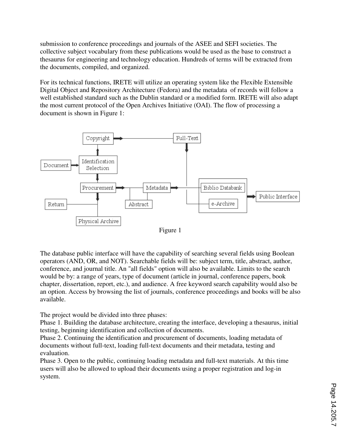submission to conference proceedings and journals of the ASEE and SEFI societies. The collective subject vocabulary from these publications would be used as the base to construct a thesaurus for engineering and technology education. Hundreds of terms will be extracted from the documents, compiled, and organized.

For its technical functions, IRETE will utilize an operating system like the Flexible Extensible Digital Object and Repository Architecture (Fedora) and the metadata of records will follow a well established standard such as the Dublin standard or a modified form. IRETE will also adapt the most current protocol of the Open Archives Initiative (OAI). The flow of processing a document is shown in Figure 1:



Figure 1

The database public interface will have the capability of searching several fields using Boolean operators (AND, OR, and NOT). Searchable fields will be: subject term, title, abstract, author, conference, and journal title. An "all fields" option will also be available. Limits to the search would be by: a range of years, type of document (article in journal, conference papers, book chapter, dissertation, report, etc.), and audience. A free keyword search capability would also be an option. Access by browsing the list of journals, conference proceedings and books will be also available.

The project would be divided into three phases:

Phase 1. Building the database architecture, creating the interface, developing a thesaurus, initial testing, beginning identification and collection of documents.

Phase 2. Continuing the identification and procurement of documents, loading metadata of documents without full-text, loading full-text documents and their metadata, testing and evaluation.

Phase 3. Open to the public, continuing loading metadata and full-text materials. At this time users will also be allowed to upload their documents using a proper registration and log-in system.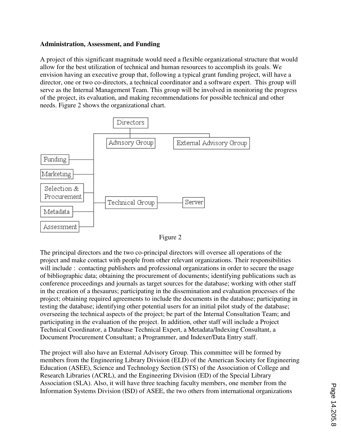#### **Administration, Assessment, and Funding**

A project of this significant magnitude would need a flexible organizational structure that would allow for the best utilization of technical and human resources to accomplish its goals. We envision having an executive group that, following a typical grant funding project, will have a director, one or two co-directors, a technical coordinator and a software expert. This group will serve as the Internal Management Team. This group will be involved in monitoring the progress of the project, its evaluation, and making recommendations for possible technical and other needs. Figure 2 shows the organizational chart.





The principal directors and the two co-principal directors will oversee all operations of the project and make contact with people from other relevant organizations. Their responsibilities will include : contacting publishers and professional organizations in order to secure the usage of bibliographic data; obtaining the procurement of documents; identifying publications such as conference proceedings and journals as target sources for the database; working with other staff in the creation of a thesaurus; participating in the dissemination and evaluation processes of the project; obtaining required agreements to include the documents in the database; participating in testing the database; identifying other potential users for an initial pilot study of the database; overseeing the technical aspects of the project; be part of the Internal Consultation Team; and participating in the evaluation of the project. In addition, other staff will include a Project Technical Coordinator, a Database Technical Expert, a Metadata/Indexing Consultant, a Document Procurement Consultant; a Programmer, and Indexer/Data Entry staff.

The project will also have an External Advisory Group. This committee will be formed by members from the Engineering Library Division (ELD) of the American Society for Engineering Education (ASEE), Science and Technology Section (STS) of the Association of College and Research Libraries (ACRL), and the Engineering Division (ED) of the Special Library Association (SLA). Also, it will have three teaching faculty members, one member from the Information Systems Division (ISD) of ASEE, the two others from international organizations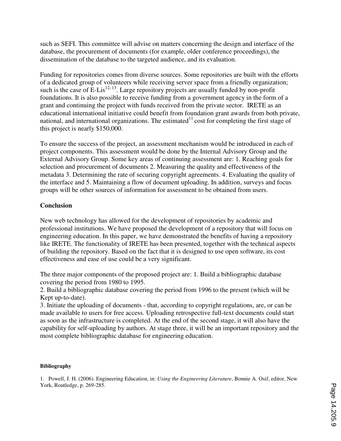such as SEFI. This committee will advise on matters concerning the design and interface of the database, the procurement of documents (for example, older conference proceedings), the dissemination of the database to the targeted audience, and its evaluation.

Funding for repositories comes from diverse sources. Some repositories are built with the efforts of a dedicated group of volunteers while receiving server space from a friendly organization; such is the case of E-Lis<sup>12, 13</sup>. Large repository projects are usually funded by non-profit foundations. It is also possible to receive funding from a government agency in the form of a grant and continuing the project with funds received from the private sector. IRETE as an educational international initiative could benefit from foundation grant awards from both private, national, and international organizations. The estimated  $11$  cost for completing the first stage of this project is nearly \$150,000.

To ensure the success of the project, an assessment mechanism would be introduced in each of project components. This assessment would be done by the Internal Advisory Group and the External Advisory Group. Some key areas of continuing assessment are: 1. Reaching goals for selection and procurement of documents 2. Measuring the quality and effectiveness of the metadata 3. Determining the rate of securing copyright agreements. 4. Evaluating the quality of the interface and 5. Maintaining a flow of document uploading. In addition, surveys and focus groups will be other sources of information for assessment to be obtained from users.

## **Conclusion**

New web technology has allowed for the development of repositories by academic and professional institutions. We have proposed the development of a repository that will focus on engineering education. In this paper, we have demonstrated the benefits of having a repository like IRETE. The functionality of IRETE has been presented, together with the technical aspects of building the repository. Based on the fact that it is designed to use open software, its cost effectiveness and ease of use could be a very significant.

The three major components of the proposed project are: 1. Build a bibliographic database covering the period from 1980 to 1995.

2. Build a bibliographic database covering the period from 1996 to the present (which will be Kept up-to-date).

3. Initiate the uploading of documents - that, according to copyright regulations, are, or can be made available to users for free access. Uploading retrospective full-text documents could start as soon as the infrastructure is completed. At the end of the second stage, it will also have the capability for self-uploading by authors. At stage three, it will be an important repository and the most complete bibliographic database for engineering education.

#### **Bibliography**

1. Powell, J. H. (2006). Engineering Education, in: *Using the Engineering Literature*, Bonnie A. Osif, editor, New York, Routledge, p. 269-285.